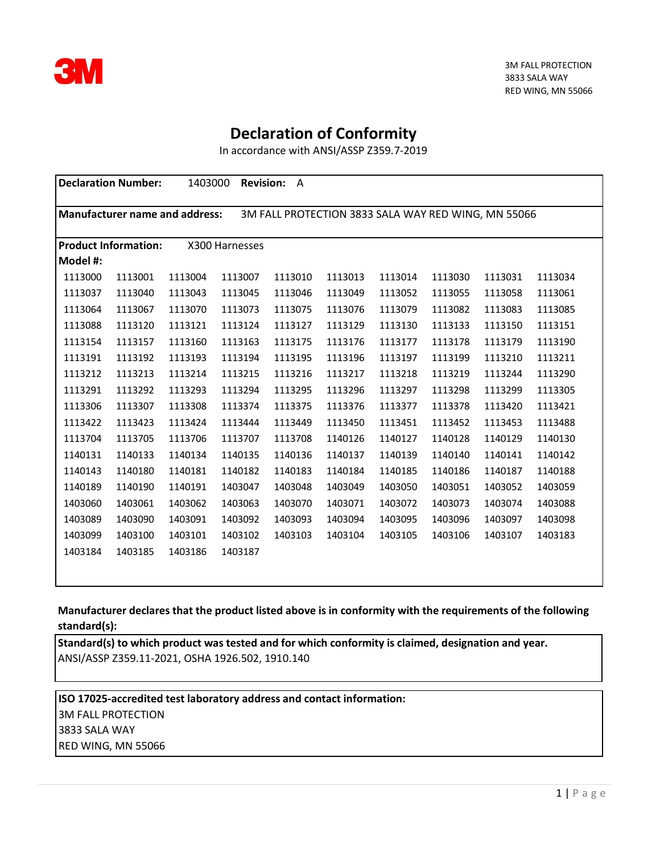

## **Declaration of Conformity**

In accordance with ANSI/ASSP Z359.7-2019

| 1403000<br><b>Revision:</b><br><b>Declaration Number:</b><br>$\mathsf{A}$                    |         |         |         |         |         |         |         |         |         |
|----------------------------------------------------------------------------------------------|---------|---------|---------|---------|---------|---------|---------|---------|---------|
| <b>Manufacturer name and address:</b><br>3M FALL PROTECTION 3833 SALA WAY RED WING, MN 55066 |         |         |         |         |         |         |         |         |         |
| X300 Harnesses<br><b>Product Information:</b>                                                |         |         |         |         |         |         |         |         |         |
| Model #:                                                                                     |         |         |         |         |         |         |         |         |         |
| 1113000                                                                                      | 1113001 | 1113004 | 1113007 | 1113010 | 1113013 | 1113014 | 1113030 | 1113031 | 1113034 |
| 1113037                                                                                      | 1113040 | 1113043 | 1113045 | 1113046 | 1113049 | 1113052 | 1113055 | 1113058 | 1113061 |
| 1113064                                                                                      | 1113067 | 1113070 | 1113073 | 1113075 | 1113076 | 1113079 | 1113082 | 1113083 | 1113085 |
| 1113088                                                                                      | 1113120 | 1113121 | 1113124 | 1113127 | 1113129 | 1113130 | 1113133 | 1113150 | 1113151 |
| 1113154                                                                                      | 1113157 | 1113160 | 1113163 | 1113175 | 1113176 | 1113177 | 1113178 | 1113179 | 1113190 |
| 1113191                                                                                      | 1113192 | 1113193 | 1113194 | 1113195 | 1113196 | 1113197 | 1113199 | 1113210 | 1113211 |
| 1113212                                                                                      | 1113213 | 1113214 | 1113215 | 1113216 | 1113217 | 1113218 | 1113219 | 1113244 | 1113290 |
| 1113291                                                                                      | 1113292 | 1113293 | 1113294 | 1113295 | 1113296 | 1113297 | 1113298 | 1113299 | 1113305 |
| 1113306                                                                                      | 1113307 | 1113308 | 1113374 | 1113375 | 1113376 | 1113377 | 1113378 | 1113420 | 1113421 |
| 1113422                                                                                      | 1113423 | 1113424 | 1113444 | 1113449 | 1113450 | 1113451 | 1113452 | 1113453 | 1113488 |
| 1113704                                                                                      | 1113705 | 1113706 | 1113707 | 1113708 | 1140126 | 1140127 | 1140128 | 1140129 | 1140130 |
| 1140131                                                                                      | 1140133 | 1140134 | 1140135 | 1140136 | 1140137 | 1140139 | 1140140 | 1140141 | 1140142 |
| 1140143                                                                                      | 1140180 | 1140181 | 1140182 | 1140183 | 1140184 | 1140185 | 1140186 | 1140187 | 1140188 |
| 1140189                                                                                      | 1140190 | 1140191 | 1403047 | 1403048 | 1403049 | 1403050 | 1403051 | 1403052 | 1403059 |
| 1403060                                                                                      | 1403061 | 1403062 | 1403063 | 1403070 | 1403071 | 1403072 | 1403073 | 1403074 | 1403088 |
| 1403089                                                                                      | 1403090 | 1403091 | 1403092 | 1403093 | 1403094 | 1403095 | 1403096 | 1403097 | 1403098 |
| 1403099                                                                                      | 1403100 | 1403101 | 1403102 | 1403103 | 1403104 | 1403105 | 1403106 | 1403107 | 1403183 |
| 1403184                                                                                      | 1403185 | 1403186 | 1403187 |         |         |         |         |         |         |
|                                                                                              |         |         |         |         |         |         |         |         |         |

**Manufacturer declares that the product listed above is in conformity with the requirements of the following standard(s):**

**Standard(s) to which product was tested and for which conformity is claimed, designation and year.** ANSI/ASSP Z359.11-2021, OSHA 1926.502, 1910.140

**ISO 17025-accredited test laboratory address and contact information:** 3M FALL PROTECTION 3833 SALA WAY RED WING, MN 55066